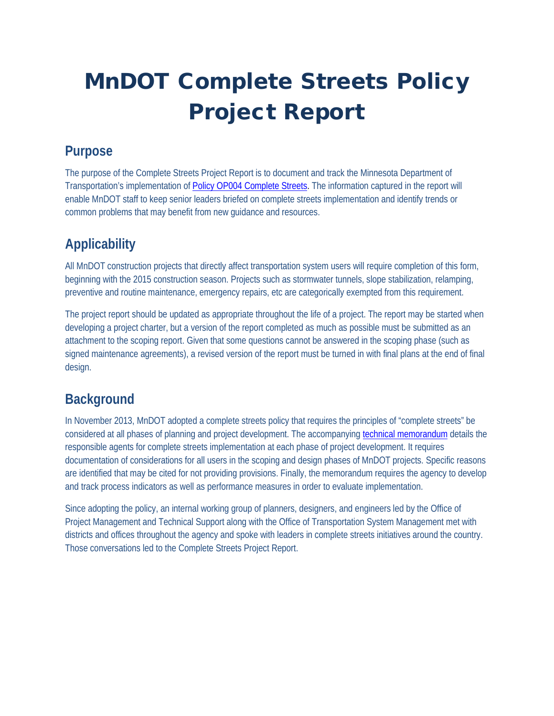# MnDOT Complete Streets Policy Project Report

### **Purpose**

The purpose of the Complete Streets Project Report is to document and track the Minnesota Department of Transportation's implementation of [Policy OP004 Complete Streets.](http://www.dot.state.mn.us/policy/operations/op004.html) The information captured in the report will enable MnDOT staff to keep senior leaders briefed on complete streets implementation and identify trends or common problems that may benefit from new guidance and resources.

## **Applicability**

All MnDOT construction projects that directly affect transportation system users will require completion of this form, beginning with the 2015 construction season. Projects such as stormwater tunnels, slope stabilization, relamping, preventive and routine maintenance, emergency repairs, etc are categorically exempted from this requirement.

The project report should be updated as appropriate throughout the life of a project. The report may be started when developing a project charter, but a version of the report completed as much as possible must be submitted as an attachment to the scoping report. Given that some questions cannot be answered in the scoping phase (such as signed maintenance agreements), a revised version of the report must be turned in with final plans at the end of final design.

### **Background**

In November 2013, MnDOT adopted a complete streets policy that requires the principles of "complete streets" be considered at all phases of planning and project development. The accompanying [technical memorandum](http://www.dot.state.mn.us/planning/completestreets/docs/2014/Sept14/CompleteStreetsTechMemo.pdf) details the responsible agents for complete streets implementation at each phase of project development. It requires documentation of considerations for all users in the scoping and design phases of MnDOT projects. Specific reasons are identified that may be cited for not providing provisions. Finally, the memorandum requires the agency to develop and track process indicators as well as performance measures in order to evaluate implementation.

Since adopting the policy, an internal working group of planners, designers, and engineers led by the Office of Project Management and Technical Support along with the Office of Transportation System Management met with districts and offices throughout the agency and spoke with leaders in complete streets initiatives around the country. Those conversations led to the Complete Streets Project Report.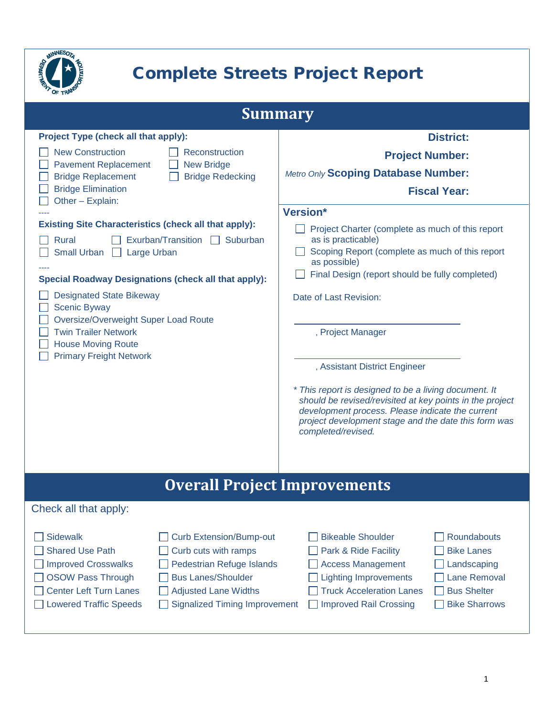

# Complete Streets Project Report

| <b>Summary</b>                                                                                                                                                 |                                                                                                                                                                                                |                                                                                                                                                                                                                                                                                                                 |  |  |
|----------------------------------------------------------------------------------------------------------------------------------------------------------------|------------------------------------------------------------------------------------------------------------------------------------------------------------------------------------------------|-----------------------------------------------------------------------------------------------------------------------------------------------------------------------------------------------------------------------------------------------------------------------------------------------------------------|--|--|
| <b>Project Type (check all that apply):</b>                                                                                                                    |                                                                                                                                                                                                | <b>District:</b>                                                                                                                                                                                                                                                                                                |  |  |
| <b>New Construction</b><br>Reconstruction                                                                                                                      |                                                                                                                                                                                                | <b>Project Number:</b>                                                                                                                                                                                                                                                                                          |  |  |
| <b>Pavement Replacement</b><br><b>Bridge Replacement</b>                                                                                                       | <b>New Bridge</b><br><b>Bridge Redecking</b>                                                                                                                                                   | Metro Only Scoping Database Number:                                                                                                                                                                                                                                                                             |  |  |
| <b>Bridge Elimination</b><br>Other - Explain:                                                                                                                  |                                                                                                                                                                                                | <b>Fiscal Year:</b>                                                                                                                                                                                                                                                                                             |  |  |
|                                                                                                                                                                |                                                                                                                                                                                                | Version*                                                                                                                                                                                                                                                                                                        |  |  |
| <b>Existing Site Characteristics (check all that apply):</b>                                                                                                   |                                                                                                                                                                                                | Project Charter (complete as much of this report                                                                                                                                                                                                                                                                |  |  |
| Exurban/Transition<br>Rural<br>Suburban<br>Small Urban $\Box$<br>Large Urban                                                                                   |                                                                                                                                                                                                | as is practicable)<br>Scoping Report (complete as much of this report<br>as possible)                                                                                                                                                                                                                           |  |  |
| <b>Special Roadway Designations (check all that apply):</b>                                                                                                    |                                                                                                                                                                                                | Final Design (report should be fully completed)                                                                                                                                                                                                                                                                 |  |  |
| <b>Designated State Bikeway</b><br><b>Scenic Byway</b>                                                                                                         |                                                                                                                                                                                                | Date of Last Revision:                                                                                                                                                                                                                                                                                          |  |  |
| Oversize/Overweight Super Load Route<br><b>Twin Trailer Network</b><br><b>House Moving Route</b>                                                               |                                                                                                                                                                                                | , Project Manager                                                                                                                                                                                                                                                                                               |  |  |
| <b>Primary Freight Network</b>                                                                                                                                 |                                                                                                                                                                                                | , Assistant District Engineer                                                                                                                                                                                                                                                                                   |  |  |
|                                                                                                                                                                |                                                                                                                                                                                                | * This report is designed to be a living document. It<br>should be revised/revisited at key points in the project<br>development process. Please indicate the current<br>project development stage and the date this form was<br>completed/revised.                                                             |  |  |
|                                                                                                                                                                | <b>Overall Project Improvements</b>                                                                                                                                                            |                                                                                                                                                                                                                                                                                                                 |  |  |
| Check all that apply:                                                                                                                                          |                                                                                                                                                                                                |                                                                                                                                                                                                                                                                                                                 |  |  |
| <b>Sidewalk</b><br><b>Shared Use Path</b><br><b>Improved Crosswalks</b><br><b>OSOW Pass Through</b><br><b>Center Left Turn Lanes</b><br>Lowered Traffic Speeds | <b>Curb Extension/Bump-out</b><br>Curb cuts with ramps<br><b>Pedestrian Refuge Islands</b><br><b>Bus Lanes/Shoulder</b><br><b>Adjusted Lane Widths</b><br><b>Signalized Timing Improvement</b> | <b>Roundabouts</b><br><b>Bikeable Shoulder</b><br><b>Bike Lanes</b><br>Park & Ride Facility<br><b>Access Management</b><br>Landscaping<br><b>Lane Removal</b><br><b>Lighting Improvements</b><br><b>Truck Acceleration Lanes</b><br><b>Bus Shelter</b><br><b>Bike Sharrows</b><br><b>Improved Rail Crossing</b> |  |  |
|                                                                                                                                                                |                                                                                                                                                                                                |                                                                                                                                                                                                                                                                                                                 |  |  |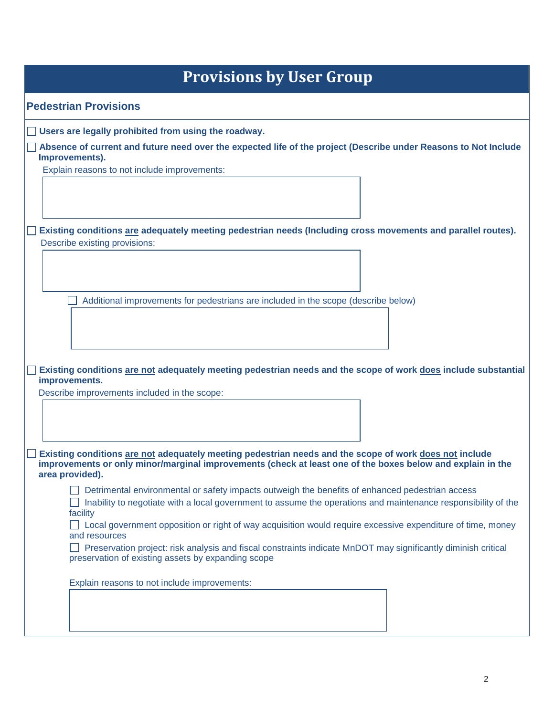| <b>Provisions by User Group</b>                                                                                                                                                                                                         |
|-----------------------------------------------------------------------------------------------------------------------------------------------------------------------------------------------------------------------------------------|
| <b>Pedestrian Provisions</b>                                                                                                                                                                                                            |
| Users are legally prohibited from using the roadway.                                                                                                                                                                                    |
| Absence of current and future need over the expected life of the project (Describe under Reasons to Not Include<br>Improvements).                                                                                                       |
| Explain reasons to not include improvements:                                                                                                                                                                                            |
|                                                                                                                                                                                                                                         |
|                                                                                                                                                                                                                                         |
| Existing conditions are adequately meeting pedestrian needs (Including cross movements and parallel routes).                                                                                                                            |
| Describe existing provisions:                                                                                                                                                                                                           |
|                                                                                                                                                                                                                                         |
| Additional improvements for pedestrians are included in the scope (describe below)                                                                                                                                                      |
|                                                                                                                                                                                                                                         |
|                                                                                                                                                                                                                                         |
|                                                                                                                                                                                                                                         |
| Existing conditions are not adequately meeting pedestrian needs and the scope of work does include substantial<br>improvements.                                                                                                         |
| Describe improvements included in the scope:                                                                                                                                                                                            |
|                                                                                                                                                                                                                                         |
|                                                                                                                                                                                                                                         |
| Existing conditions are not adequately meeting pedestrian needs and the scope of work does not include<br>improvements or only minor/marginal improvements (check at least one of the boxes below and explain in the<br>area provided). |
| Detrimental environmental or safety impacts outweigh the benefits of enhanced pedestrian access                                                                                                                                         |
| Inability to negotiate with a local government to assume the operations and maintenance responsibility of the<br>facility                                                                                                               |
| □ Local government opposition or right of way acquisition would require excessive expenditure of time, money<br>and resources                                                                                                           |
| Preservation project: risk analysis and fiscal constraints indicate MnDOT may significantly diminish critical<br>preservation of existing assets by expanding scope                                                                     |
| Explain reasons to not include improvements:                                                                                                                                                                                            |
|                                                                                                                                                                                                                                         |
|                                                                                                                                                                                                                                         |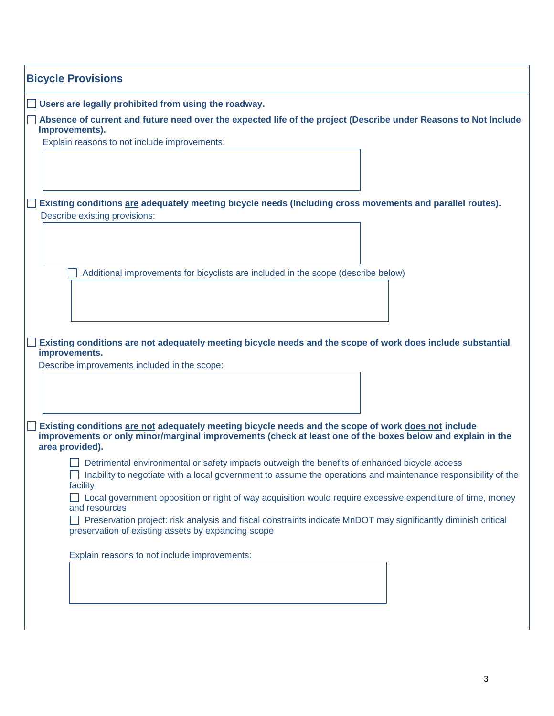| <b>Bicycle Provisions</b>                                                                                                                                           |  |  |  |
|---------------------------------------------------------------------------------------------------------------------------------------------------------------------|--|--|--|
| Users are legally prohibited from using the roadway.                                                                                                                |  |  |  |
| Absence of current and future need over the expected life of the project (Describe under Reasons to Not Include<br>Improvements).                                   |  |  |  |
| Explain reasons to not include improvements:                                                                                                                        |  |  |  |
|                                                                                                                                                                     |  |  |  |
| Existing conditions are adequately meeting bicycle needs (Including cross movements and parallel routes).                                                           |  |  |  |
| Describe existing provisions:                                                                                                                                       |  |  |  |
|                                                                                                                                                                     |  |  |  |
| Additional improvements for bicyclists are included in the scope (describe below)                                                                                   |  |  |  |
|                                                                                                                                                                     |  |  |  |
|                                                                                                                                                                     |  |  |  |
|                                                                                                                                                                     |  |  |  |
| Existing conditions are not adequately meeting bicycle needs and the scope of work does include substantial<br>improvements.                                        |  |  |  |
| Describe improvements included in the scope:                                                                                                                        |  |  |  |
|                                                                                                                                                                     |  |  |  |
|                                                                                                                                                                     |  |  |  |
| Existing conditions are not adequately meeting bicycle needs and the scope of work does not include                                                                 |  |  |  |
| improvements or only minor/marginal improvements (check at least one of the boxes below and explain in the<br>area provided).                                       |  |  |  |
| Detrimental environmental or safety impacts outweigh the benefits of enhanced bicycle access                                                                        |  |  |  |
| Inability to negotiate with a local government to assume the operations and maintenance responsibility of the<br>facility                                           |  |  |  |
| Local government opposition or right of way acquisition would require excessive expenditure of time, money<br>and resources                                         |  |  |  |
| Preservation project: risk analysis and fiscal constraints indicate MnDOT may significantly diminish critical<br>preservation of existing assets by expanding scope |  |  |  |
| Explain reasons to not include improvements:                                                                                                                        |  |  |  |
|                                                                                                                                                                     |  |  |  |
|                                                                                                                                                                     |  |  |  |
|                                                                                                                                                                     |  |  |  |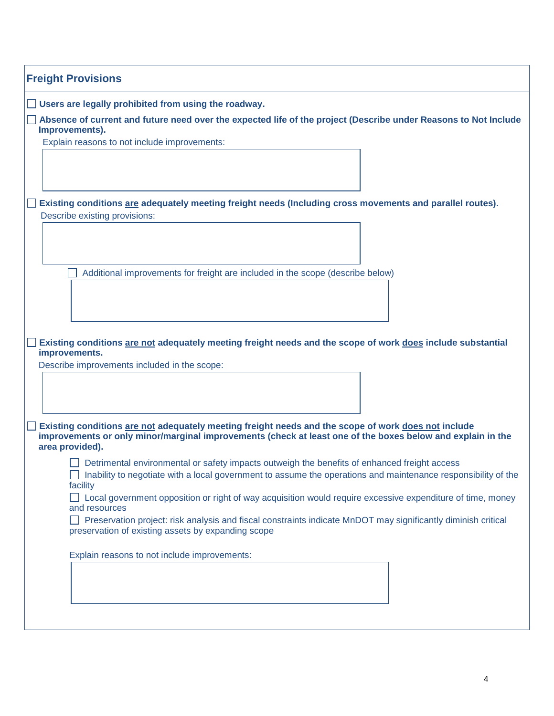| <b>Freight Provisions</b>                                                                                                                                                                                                                                                                                                               |  |  |  |
|-----------------------------------------------------------------------------------------------------------------------------------------------------------------------------------------------------------------------------------------------------------------------------------------------------------------------------------------|--|--|--|
| Users are legally prohibited from using the roadway.                                                                                                                                                                                                                                                                                    |  |  |  |
| Absence of current and future need over the expected life of the project (Describe under Reasons to Not Include<br>Improvements).                                                                                                                                                                                                       |  |  |  |
| Explain reasons to not include improvements:                                                                                                                                                                                                                                                                                            |  |  |  |
| Existing conditions are adequately meeting freight needs (Including cross movements and parallel routes).<br>Describe existing provisions:                                                                                                                                                                                              |  |  |  |
|                                                                                                                                                                                                                                                                                                                                         |  |  |  |
| Additional improvements for freight are included in the scope (describe below)                                                                                                                                                                                                                                                          |  |  |  |
| Existing conditions are not adequately meeting freight needs and the scope of work does include substantial<br>improvements.<br>Describe improvements included in the scope:                                                                                                                                                            |  |  |  |
|                                                                                                                                                                                                                                                                                                                                         |  |  |  |
| Existing conditions are not adequately meeting freight needs and the scope of work does not include<br>improvements or only minor/marginal improvements (check at least one of the boxes below and explain in the<br>area provided).                                                                                                    |  |  |  |
| Detrimental environmental or safety impacts outweigh the benefits of enhanced freight access<br>Inability to negotiate with a local government to assume the operations and maintenance responsibility of the<br>facility<br>Local government opposition or right of way acquisition would require excessive expenditure of time, money |  |  |  |
| and resources<br>Preservation project: risk analysis and fiscal constraints indicate MnDOT may significantly diminish critical<br>preservation of existing assets by expanding scope                                                                                                                                                    |  |  |  |
| Explain reasons to not include improvements:                                                                                                                                                                                                                                                                                            |  |  |  |
|                                                                                                                                                                                                                                                                                                                                         |  |  |  |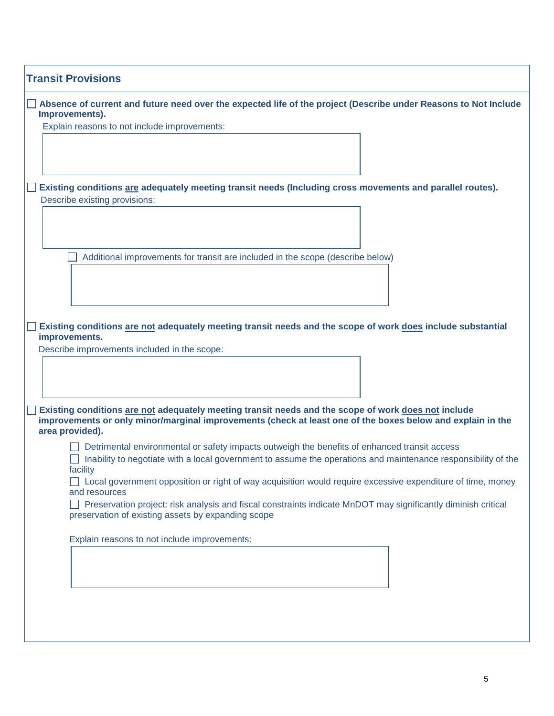| <b>Transit Provisions</b>                                                                                                                                                                                                            |
|--------------------------------------------------------------------------------------------------------------------------------------------------------------------------------------------------------------------------------------|
| Absence of current and future need over the expected life of the project (Describe under Reasons to Not Include<br>Improvements).                                                                                                    |
| Explain reasons to not include improvements:                                                                                                                                                                                         |
|                                                                                                                                                                                                                                      |
|                                                                                                                                                                                                                                      |
|                                                                                                                                                                                                                                      |
| Existing conditions are adequately meeting transit needs (Including cross movements and parallel routes).<br>Describe existing provisions:                                                                                           |
|                                                                                                                                                                                                                                      |
|                                                                                                                                                                                                                                      |
|                                                                                                                                                                                                                                      |
| Additional improvements for transit are included in the scope (describe below)                                                                                                                                                       |
|                                                                                                                                                                                                                                      |
|                                                                                                                                                                                                                                      |
|                                                                                                                                                                                                                                      |
| Existing conditions are not adequately meeting transit needs and the scope of work does include substantial                                                                                                                          |
| improvements.                                                                                                                                                                                                                        |
| Describe improvements included in the scope:                                                                                                                                                                                         |
|                                                                                                                                                                                                                                      |
|                                                                                                                                                                                                                                      |
| Existing conditions are not adequately meeting transit needs and the scope of work does not include<br>improvements or only minor/marginal improvements (check at least one of the boxes below and explain in the<br>area provided). |
| Detrimental environmental or safety impacts outweigh the benefits of enhanced transit access                                                                                                                                         |
| Inability to negotiate with a local government to assume the operations and maintenance responsibility of the<br>facility                                                                                                            |
| $\Box$ Local government opposition or right of way acquisition would require excessive expenditure of time, money<br>and resources                                                                                                   |
| Preservation project: risk analysis and fiscal constraints indicate MnDOT may significantly diminish critical<br>preservation of existing assets by expanding scope                                                                  |
| Explain reasons to not include improvements:                                                                                                                                                                                         |
|                                                                                                                                                                                                                                      |
|                                                                                                                                                                                                                                      |
|                                                                                                                                                                                                                                      |
|                                                                                                                                                                                                                                      |
|                                                                                                                                                                                                                                      |